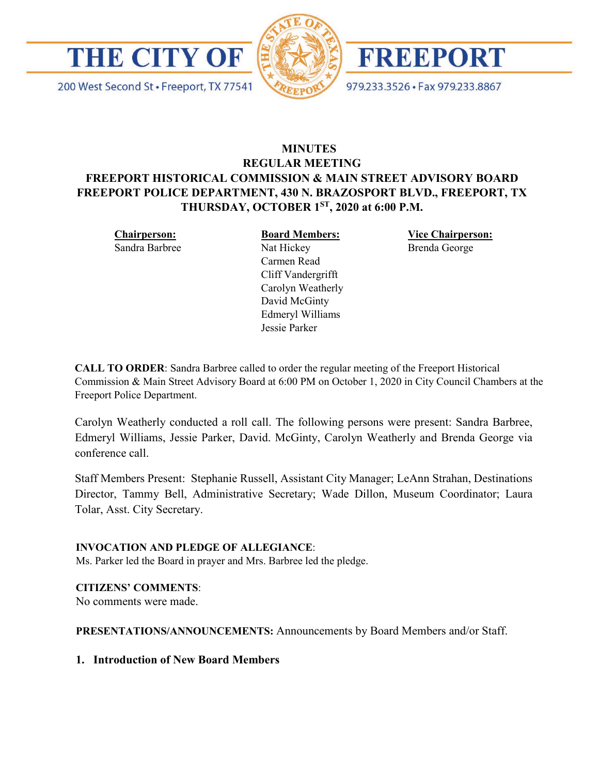





200 West Second St · Freeport, TX 77541 979.233.3526 · Fax 979.233.8867

# **MINUTES REGULAR MEETING FREEPORT HISTORICAL COMMISSION & MAIN STREET ADVISORY BOARD FREEPORT POLICE DEPARTMENT, 430 N. BRAZOSPORT BLVD., FREEPORT, TX THURSDAY, OCTOBER 1ST, 2020 at 6:00 P.M.**

**Chairperson:** Sandra Barbree **Board Members:**

Nat Hickey Carmen Read Cliff Vandergrifft Carolyn Weatherly David McGinty Edmeryl Williams Jessie Parker

**Vice Chairperson:** Brenda George

**CALL TO ORDER**: Sandra Barbree called to order the regular meeting of the Freeport Historical Commission & Main Street Advisory Board at 6:00 PM on October 1, 2020 in City Council Chambers at the Freeport Police Department.

Carolyn Weatherly conducted a roll call. The following persons were present: Sandra Barbree, Edmeryl Williams, Jessie Parker, David. McGinty, Carolyn Weatherly and Brenda George via conference call.

Staff Members Present: Stephanie Russell, Assistant City Manager; LeAnn Strahan, Destinations Director, Tammy Bell, Administrative Secretary; Wade Dillon, Museum Coordinator; Laura Tolar, Asst. City Secretary.

# **INVOCATION AND PLEDGE OF ALLEGIANCE**:

Ms. Parker led the Board in prayer and Mrs. Barbree led the pledge.

# **CITIZENS' COMMENTS**:

No comments were made.

**PRESENTATIONS/ANNOUNCEMENTS:** Announcements by Board Members and/or Staff.

# **1. Introduction of New Board Members**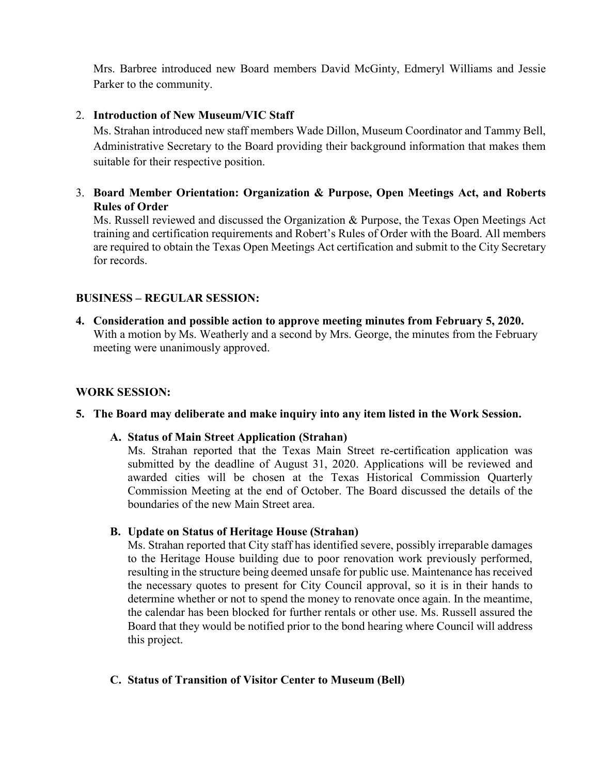Mrs. Barbree introduced new Board members David McGinty, Edmeryl Williams and Jessie Parker to the community.

# 2. **Introduction of New Museum/VIC Staff**

Ms. Strahan introduced new staff members Wade Dillon, Museum Coordinator and Tammy Bell, Administrative Secretary to the Board providing their background information that makes them suitable for their respective position.

3. **Board Member Orientation: Organization & Purpose, Open Meetings Act, and Roberts Rules of Order**

Ms. Russell reviewed and discussed the Organization & Purpose, the Texas Open Meetings Act training and certification requirements and Robert's Rules of Order with the Board. All members are required to obtain the Texas Open Meetings Act certification and submit to the City Secretary for records.

# **BUSINESS – REGULAR SESSION:**

**4. Consideration and possible action to approve meeting minutes from February 5, 2020.**  With a motion by Ms. Weatherly and a second by Mrs. George, the minutes from the February meeting were unanimously approved.

# **WORK SESSION:**

# **5. The Board may deliberate and make inquiry into any item listed in the Work Session.**

# **A. Status of Main Street Application (Strahan)**

Ms. Strahan reported that the Texas Main Street re-certification application was submitted by the deadline of August 31, 2020. Applications will be reviewed and awarded cities will be chosen at the Texas Historical Commission Quarterly Commission Meeting at the end of October. The Board discussed the details of the boundaries of the new Main Street area.

**B. Update on Status of Heritage House (Strahan)**

Ms. Strahan reported that City staff has identified severe, possibly irreparable damages to the Heritage House building due to poor renovation work previously performed, resulting in the structure being deemed unsafe for public use. Maintenance has received the necessary quotes to present for City Council approval, so it is in their hands to determine whether or not to spend the money to renovate once again. In the meantime, the calendar has been blocked for further rentals or other use. Ms. Russell assured the Board that they would be notified prior to the bond hearing where Council will address this project.

# **C. Status of Transition of Visitor Center to Museum (Bell)**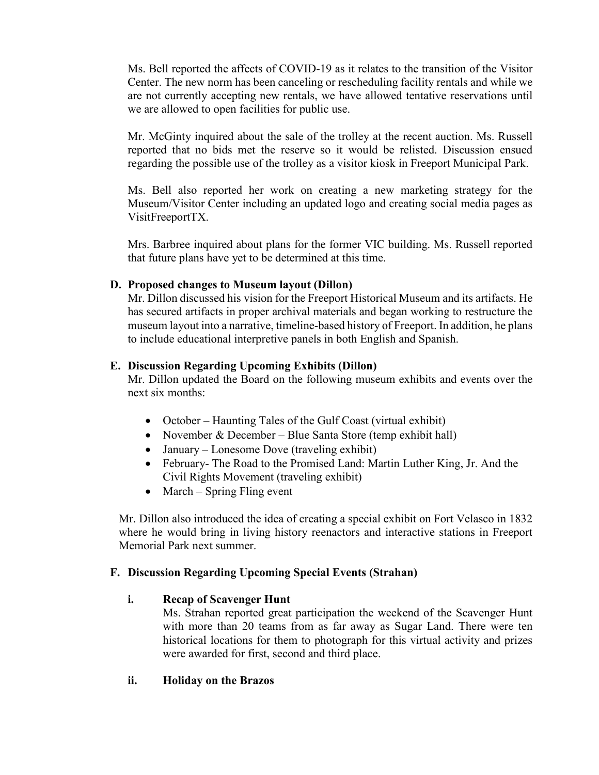Ms. Bell reported the affects of COVID-19 as it relates to the transition of the Visitor Center. The new norm has been canceling or rescheduling facility rentals and while we are not currently accepting new rentals, we have allowed tentative reservations until we are allowed to open facilities for public use.

Mr. McGinty inquired about the sale of the trolley at the recent auction. Ms. Russell reported that no bids met the reserve so it would be relisted. Discussion ensued regarding the possible use of the trolley as a visitor kiosk in Freeport Municipal Park.

Ms. Bell also reported her work on creating a new marketing strategy for the Museum/Visitor Center including an updated logo and creating social media pages as VisitFreeportTX.

Mrs. Barbree inquired about plans for the former VIC building. Ms. Russell reported that future plans have yet to be determined at this time.

# **D. Proposed changes to Museum layout (Dillon)**

Mr. Dillon discussed his vision for the Freeport Historical Museum and its artifacts. He has secured artifacts in proper archival materials and began working to restructure the museum layout into a narrative, timeline-based history of Freeport. In addition, he plans to include educational interpretive panels in both English and Spanish.

# **E. Discussion Regarding Upcoming Exhibits (Dillon)**

Mr. Dillon updated the Board on the following museum exhibits and events over the next six months:

- October Haunting Tales of the Gulf Coast (virtual exhibit)
- November & December Blue Santa Store (temp exhibit hall)
- January Lonesome Dove (traveling exhibit)
- February- The Road to the Promised Land: Martin Luther King, Jr. And the Civil Rights Movement (traveling exhibit)
- March Spring Fling event

Mr. Dillon also introduced the idea of creating a special exhibit on Fort Velasco in 1832 where he would bring in living history reenactors and interactive stations in Freeport Memorial Park next summer.

# **F. Discussion Regarding Upcoming Special Events (Strahan)**

# **i. Recap of Scavenger Hunt**

Ms. Strahan reported great participation the weekend of the Scavenger Hunt with more than 20 teams from as far away as Sugar Land. There were ten historical locations for them to photograph for this virtual activity and prizes were awarded for first, second and third place.

# **ii. Holiday on the Brazos**